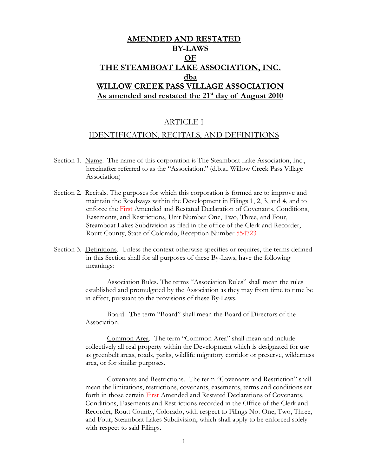# AMENDED AND RESTATED BY-LAWS OF THE STEAMBOAT LAKE ASSOCIATION, INC. dba WILLOW CREEK PASS VILLAGE ASSOCIATION As amended and restated the 21<sup>st</sup> day of August 2010

# ARTICLE I

# IDENTIFICATION, RECITALS, AND DEFINITIONS

- Section 1. Name. The name of this corporation is The Steamboat Lake Association, Inc., hereinafter referred to as the "Association." (d.b.a.. Willow Creek Pass Village Association)
- Section 2. Recitals. The purposes for which this corporation is formed are to improve and maintain the Roadways within the Development in Filings 1, 2, 3, and 4, and to enforce the First Amended and Restated Declaration of Covenants, Conditions, Easements, and Restrictions, Unit Number One, Two, Three, and Four, Steamboat Lakes Subdivision as filed in the office of the Clerk and Recorder, Routt County, State of Colorado, Reception Number 554723.
- Section 3. Definitions. Unless the context otherwise specifies or requires, the terms defined in this Section shall for all purposes of these By-Laws, have the following meanings:

Association Rules. The terms "Association Rules" shall mean the rules established and promulgated by the Association as they may from time to time be in effect, pursuant to the provisions of these By-Laws.

Board. The term "Board" shall mean the Board of Directors of the Association.

Common Area. The term "Common Area" shall mean and include collectively all real property within the Development which is designated for use as greenbelt areas, roads, parks, wildlife migratory corridor or preserve, wilderness area, or for similar purposes.

Covenants and Restrictions. The term "Covenants and Restriction" shall mean the limitations, restrictions, covenants, easements, terms and conditions set forth in those certain First Amended and Restated Declarations of Covenants, Conditions, Easements and Restrictions recorded in the Office of the Clerk and Recorder, Routt County, Colorado, with respect to Filings No. One, Two, Three, and Four, Steamboat Lakes Subdivision, which shall apply to be enforced solely with respect to said Filings.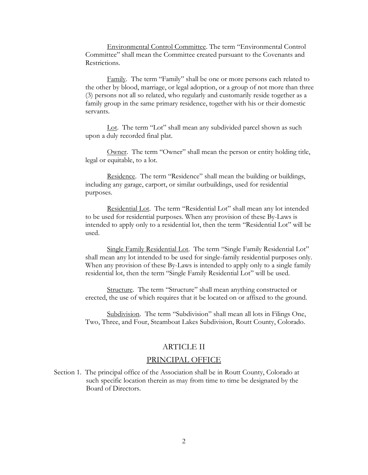Environmental Control Committee. The term "Environmental Control Committee" shall mean the Committee created pursuant to the Covenants and Restrictions.

Family. The term "Family" shall be one or more persons each related to the other by blood, marriage, or legal adoption, or a group of not more than three (3) persons not all so related, who regularly and customarily reside together as a family group in the same primary residence, together with his or their domestic servants.

Lot. The term "Lot" shall mean any subdivided parcel shown as such upon a duly recorded final plat.

Owner. The term "Owner" shall mean the person or entity holding title, legal or equitable, to a lot.

Residence. The term "Residence" shall mean the building or buildings, including any garage, carport, or similar outbuildings, used for residential purposes.

Residential Lot. The term "Residential Lot" shall mean any lot intended to be used for residential purposes. When any provision of these By-Laws is intended to apply only to a residential lot, then the term "Residential Lot" will be used.

Single Family Residential Lot. The term "Single Family Residential Lot" shall mean any lot intended to be used for single-family residential purposes only. When any provision of these By-Laws is intended to apply only to a single family residential lot, then the term "Single Family Residential Lot" will be used.

Structure. The term "Structure" shall mean anything constructed or erected, the use of which requires that it be located on or affixed to the ground.

Subdivision. The term "Subdivision" shall mean all lots in Filings One, Two, Three, and Four, Steamboat Lakes Subdivision, Routt County, Colorado.

# ARTICLE II

#### PRINCIPAL OFFICE

Section 1. The principal office of the Association shall be in Routt County, Colorado at such specific location therein as may from time to time be designated by the Board of Directors.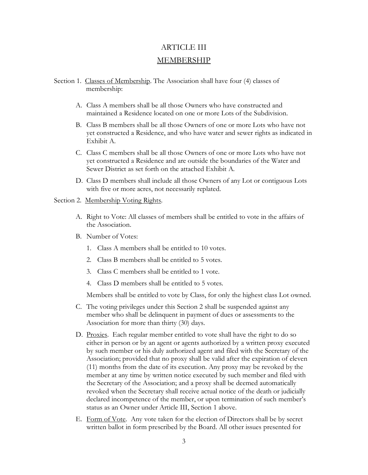# ARTICLE III MEMBERSHIP

- Section 1. Classes of Membership. The Association shall have four (4) classes of membership:
	- A. Class A members shall be all those Owners who have constructed and maintained a Residence located on one or more Lots of the Subdivision.
	- B. Class B members shall be all those Owners of one or more Lots who have not yet constructed a Residence, and who have water and sewer rights as indicated in Exhibit A.
	- C. Class C members shall be all those Owners of one or more Lots who have not yet constructed a Residence and are outside the boundaries of the Water and Sewer District as set forth on the attached Exhibit A.
	- D. Class D members shall include all those Owners of any Lot or contiguous Lots with five or more acres, not necessarily replated.

#### Section 2. Membership Voting Rights.

- A. Right to Vote: All classes of members shall be entitled to vote in the affairs of the Association.
- B. Number of Votes:
	- 1. Class A members shall be entitled to 10 votes.
	- 2. Class B members shall be entitled to 5 votes.
	- 3. Class C members shall be entitled to 1 vote.
	- 4. Class D members shall be entitled to 5 votes.

Members shall be entitled to vote by Class, for only the highest class Lot owned.

- C. The voting privileges under this Section 2 shall be suspended against any member who shall be delinquent in payment of dues or assessments to the Association for more than thirty (30) days.
- D. Proxies. Each regular member entitled to vote shall have the right to do so either in person or by an agent or agents authorized by a written proxy executed by such member or his duly authorized agent and filed with the Secretary of the Association; provided that no proxy shall be valid after the expiration of eleven (11) months from the date of its execution. Any proxy may be revoked by the member at any time by written notice executed by such member and filed with the Secretary of the Association; and a proxy shall be deemed automatically revoked when the Secretary shall receive actual notice of the death or judicially declared incompetence of the member, or upon termination of such member's status as an Owner under Article III, Section 1 above.
- E. Form of Vote. Any vote taken for the election of Directors shall be by secret written ballot in form prescribed by the Board. All other issues presented for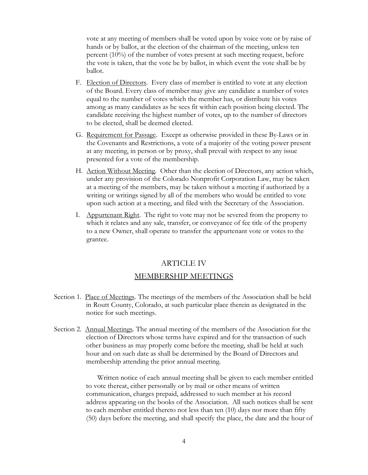vote at any meeting of members shall be voted upon by voice vote or by raise of hands or by ballot, at the election of the chairman of the meeting, unless ten percent (10%) of the number of votes present at such meeting request, before the vote is taken, that the vote be by ballot, in which event the vote shall be by ballot.

- F. Election of Directors. Every class of member is entitled to vote at any election of the Board. Every class of member may give any candidate a number of votes equal to the number of votes which the member has, or distribute his votes among as many candidates as he sees fit within each position being elected. The candidate receiving the highest number of votes, up to the number of directors to be elected, shall be deemed elected.
- G. Requirement for Passage. Except as otherwise provided in these By-Laws or in the Covenants and Restrictions, a vote of a majority of the voting power present at any meeting, in person or by proxy, shall prevail with respect to any issue presented for a vote of the membership.
- H. Action Without Meeting. Other than the election of Directors, any action which, under any provision of the Colorado Nonprofit Corporation Law, may be taken at a meeting of the members, may be taken without a meeting if authorized by a writing or writings signed by all of the members who would be entitled to vote upon such action at a meeting, and filed with the Secretary of the Association.
- I. Appurtenant Right. The right to vote may not be severed from the property to which it relates and any sale, transfer, or conveyance of fee title of the property to a new Owner, shall operate to transfer the appurtenant vote or votes to the grantee.

# ARTICLE IV

#### MEMBERSHIP MEETINGS

- Section 1. Place of Meetings. The meetings of the members of the Association shall be held in Routt County, Colorado, at such particular place therein as designated in the notice for such meetings.
- Section 2. Annual Meetings. The annual meeting of the members of the Association for the election of Directors whose terms have expired and for the transaction of such other business as may properly come before the meeting, shall be held at such hour and on such date as shall be determined by the Board of Directors and membership attending the prior annual meeting.

 Written notice of each annual meeting shall be given to each member entitled to vote thereat, either personally or by mail or other means of written communication, charges prepaid, addressed to such member at his record address appearing on the books of the Association. All such notices shall be sent to each member entitled thereto not less than ten (10) days nor more than fifty (50) days before the meeting, and shall specify the place, the date and the hour of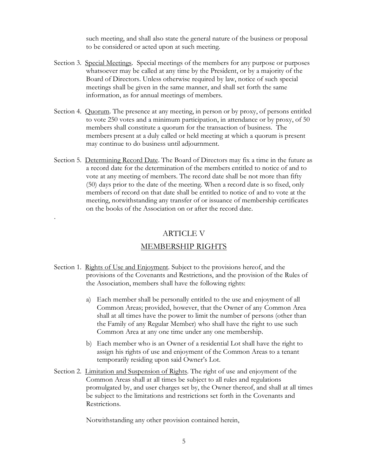such meeting, and shall also state the general nature of the business or proposal to be considered or acted upon at such meeting.

- Section 3. Special Meetings. Special meetings of the members for any purpose or purposes whatsoever may be called at any time by the President, or by a majority of the Board of Directors. Unless otherwise required by law, notice of such special meetings shall be given in the same manner, and shall set forth the same information, as for annual meetings of members.
- Section 4. Quorum. The presence at any meeting, in person or by proxy, of persons entitled to vote 250 votes and a minimum participation, in attendance or by proxy, of 50 members shall constitute a quorum for the transaction of business. The members present at a duly called or held meeting at which a quorum is present may continue to do business until adjournment.
- Section 5. Determining Record Date. The Board of Directors may fix a time in the future as a record date for the determination of the members entitled to notice of and to vote at any meeting of members. The record date shall be not more than fifty (50) days prior to the date of the meeting. When a record date is so fixed, only members of record on that date shall be entitled to notice of and to vote at the meeting, notwithstanding any transfer of or issuance of membership certificates on the books of the Association on or after the record date.

# ARTICLE V

.

#### MEMBERSHIP RIGHTS

- Section 1. Rights of Use and Enjoyment. Subject to the provisions hereof, and the provisions of the Covenants and Restrictions, and the provision of the Rules of the Association, members shall have the following rights:
	- a) Each member shall be personally entitled to the use and enjoyment of all Common Areas; provided, however, that the Owner of any Common Area shall at all times have the power to limit the number of persons (other than the Family of any Regular Member) who shall have the right to use such Common Area at any one time under any one membership.
	- b) Each member who is an Owner of a residential Lot shall have the right to assign his rights of use and enjoyment of the Common Areas to a tenant temporarily residing upon said Owner's Lot.
- Section 2. Limitation and Suspension of Rights. The right of use and enjoyment of the Common Areas shall at all times be subject to all rules and regulations promulgated by, and user charges set by, the Owner thereof, and shall at all times be subject to the limitations and restrictions set forth in the Covenants and Restrictions.

Notwithstanding any other provision contained herein,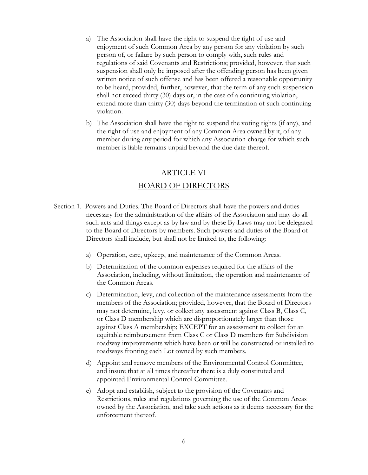- a) The Association shall have the right to suspend the right of use and enjoyment of such Common Area by any person for any violation by such person of, or failure by such person to comply with, such rules and regulations of said Covenants and Restrictions; provided, however, that such suspension shall only be imposed after the offending person has been given written notice of such offense and has been offered a reasonable opportunity to be heard, provided, further, however, that the term of any such suspension shall not exceed thirty (30) days or, in the case of a continuing violation, extend more than thirty (30) days beyond the termination of such continuing violation.
- b) The Association shall have the right to suspend the voting rights (if any), and the right of use and enjoyment of any Common Area owned by it, of any member during any period for which any Association charge for which such member is liable remains unpaid beyond the due date thereof.

#### ARTICLE VI

#### BOARD OF DIRECTORS

- Section 1. Powers and Duties. The Board of Directors shall have the powers and duties necessary for the administration of the affairs of the Association and may do all such acts and things except as by law and by these By-Laws may not be delegated to the Board of Directors by members. Such powers and duties of the Board of Directors shall include, but shall not be limited to, the following:
	- a) Operation, care, upkeep, and maintenance of the Common Areas.
	- b) Determination of the common expenses required for the affairs of the Association, including, without limitation, the operation and maintenance of the Common Areas.
	- c) Determination, levy, and collection of the maintenance assessments from the members of the Association; provided, however, that the Board of Directors may not determine, levy, or collect any assessment against Class B, Class C, or Class D membership which are disproportionately larger than those against Class A membership; EXCEPT for an assessment to collect for an equitable reimbursement from Class C or Class D members for Subdivision roadway improvements which have been or will be constructed or installed to roadways fronting each Lot owned by such members.
	- d) Appoint and remove members of the Environmental Control Committee, and insure that at all times thereafter there is a duly constituted and appointed Environmental Control Committee.
	- e) Adopt and establish, subject to the provision of the Covenants and Restrictions, rules and regulations governing the use of the Common Areas owned by the Association, and take such actions as it deems necessary for the enforcement thereof.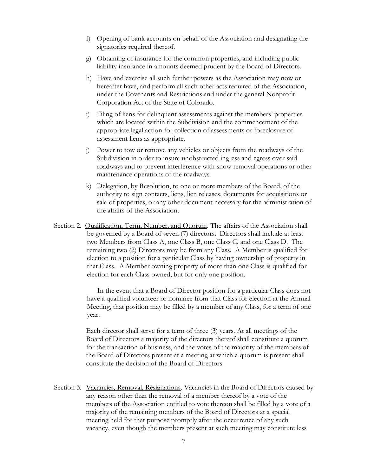- f) Opening of bank accounts on behalf of the Association and designating the signatories required thereof.
- g) Obtaining of insurance for the common properties, and including public liability insurance in amounts deemed prudent by the Board of Directors.
- h) Have and exercise all such further powers as the Association may now or hereafter have, and perform all such other acts required of the Association, under the Covenants and Restrictions and under the general Nonprofit Corporation Act of the State of Colorado.
- i) Filing of liens for delinquent assessments against the members' properties which are located within the Subdivision and the commencement of the appropriate legal action for collection of assessments or foreclosure of assessment liens as appropriate.
- j) Power to tow or remove any vehicles or objects from the roadways of the Subdivision in order to insure unobstructed ingress and egress over said roadways and to prevent interference with snow removal operations or other maintenance operations of the roadways.
- k) Delegation, by Resolution, to one or more members of the Board, of the authority to sign contacts, liens, lien releases, documents for acquisitions or sale of properties, or any other document necessary for the administration of the affairs of the Association.
- Section 2. Qualification, Term, Number, and Quorum. The affairs of the Association shall be governed by a Board of seven (7) directors. Directors shall include at least two Members from Class A, one Class B, one Class C, and one Class D. The remaining two (2) Directors may be from any Class. A Member is qualified for election to a position for a particular Class by having ownership of property in that Class. A Member owning property of more than one Class is qualified for election for each Class owned, but for only one position.

 In the event that a Board of Director position for a particular Class does not have a qualified volunteer or nominee from that Class for election at the Annual Meeting, that position may be filled by a member of any Class, for a term of one year.

Each director shall serve for a term of three (3) years. At all meetings of the Board of Directors a majority of the directors thereof shall constitute a quorum for the transaction of business, and the votes of the majority of the members of the Board of Directors present at a meeting at which a quorum is present shall constitute the decision of the Board of Directors.

Section 3. Vacancies, Removal, Resignations. Vacancies in the Board of Directors caused by any reason other than the removal of a member thereof by a vote of the members of the Association entitled to vote thereon shall be filled by a vote of a majority of the remaining members of the Board of Directors at a special meeting held for that purpose promptly after the occurrence of any such vacancy, even though the members present at such meeting may constitute less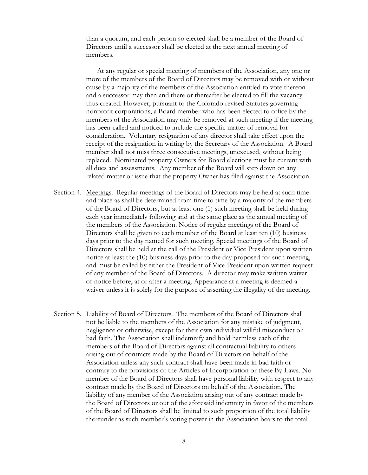than a quorum, and each person so elected shall be a member of the Board of Directors until a successor shall be elected at the next annual meeting of members.

 At any regular or special meeting of members of the Association, any one or more of the members of the Board of Directors may be removed with or without cause by a majority of the members of the Association entitled to vote thereon and a successor may then and there or thereafter be elected to fill the vacancy thus created. However, pursuant to the Colorado revised Statutes governing nonprofit corporations, a Board member who has been elected to office by the members of the Association may only be removed at such meeting if the meeting has been called and noticed to include the specific matter of removal for consideration. Voluntary resignation of any director shall take effect upon the receipt of the resignation in writing by the Secretary of the Association. A Board member shall not miss three consecutive meetings, unexcused, without being replaced. Nominated property Owners for Board elections must be current with all dues and assessments. Any member of the Board will step down on any related matter or issue that the property Owner has filed against the Association.

- Section 4. Meetings. Regular meetings of the Board of Directors may be held at such time and place as shall be determined from time to time by a majority of the members of the Board of Directors, but at least one (1) such meeting shall be held during each year immediately following and at the same place as the annual meeting of the members of the Association. Notice of regular meetings of the Board of Directors shall be given to each member of the Board at least ten (10) business days prior to the day named for such meeting. Special meetings of the Board of Directors shall be held at the call of the President or Vice President upon written notice at least the (10) business days prior to the day proposed for such meeting, and must be called by either the President of Vice President upon written request of any member of the Board of Directors. A director may make written waiver of notice before, at or after a meeting. Appearance at a meeting is deemed a waiver unless it is solely for the purpose of asserting the illegality of the meeting.
- Section 5. Liability of Board of Directors. The members of the Board of Directors shall not be liable to the members of the Association for any mistake of judgment, negligence or otherwise, except for their own individual willful misconduct or bad faith. The Association shall indemnify and hold harmless each of the members of the Board of Directors against all contractual liability to others arising out of contracts made by the Board of Directors on behalf of the Association unless any such contract shall have been made in bad faith or contrary to the provisions of the Articles of Incorporation or these By-Laws. No member of the Board of Directors shall have personal liability with respect to any contract made by the Board of Directors on behalf of the Association. The liability of any member of the Association arising out of any contract made by the Board of Directors or out of the aforesaid indemnity in favor of the members of the Board of Directors shall be limited to such proportion of the total liability thereunder as such member's voting power in the Association bears to the total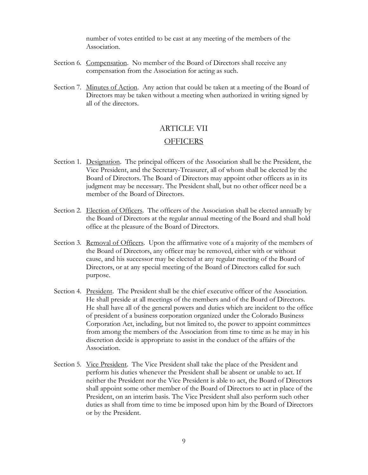number of votes entitled to be cast at any meeting of the members of the Association.

- Section 6. Compensation. No member of the Board of Directors shall receive any compensation from the Association for acting as such.
- Section 7. Minutes of Action. Any action that could be taken at a meeting of the Board of Directors may be taken without a meeting when authorized in writing signed by all of the directors.

# ARTICLE VII

#### OFFICERS

- Section 1. Designation. The principal officers of the Association shall be the President, the Vice President, and the Secretary-Treasurer, all of whom shall be elected by the Board of Directors. The Board of Directors may appoint other officers as in its judgment may be necessary. The President shall, but no other officer need be a member of the Board of Directors.
- Section 2. Election of Officers. The officers of the Association shall be elected annually by the Board of Directors at the regular annual meeting of the Board and shall hold office at the pleasure of the Board of Directors.
- Section 3. Removal of Officers. Upon the affirmative vote of a majority of the members of the Board of Directors, any officer may be removed, either with or without cause, and his successor may be elected at any regular meeting of the Board of Directors, or at any special meeting of the Board of Directors called for such purpose.
- Section 4. President. The President shall be the chief executive officer of the Association. He shall preside at all meetings of the members and of the Board of Directors. He shall have all of the general powers and duties which are incident to the office of president of a business corporation organized under the Colorado Business Corporation Act, including, but not limited to, the power to appoint committees from among the members of the Association from time to time as he may in his discretion decide is appropriate to assist in the conduct of the affairs of the Association.
- Section 5. Vice President. The Vice President shall take the place of the President and perform his duties whenever the President shall be absent or unable to act. If neither the President nor the Vice President is able to act, the Board of Directors shall appoint some other member of the Board of Directors to act in place of the President, on an interim basis. The Vice President shall also perform such other duties as shall from time to time be imposed upon him by the Board of Directors or by the President.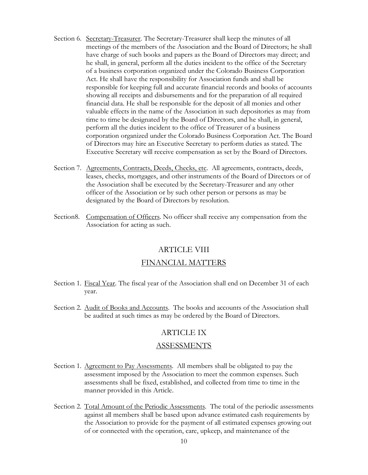- Section 6. Secretary-Treasurer. The Secretary-Treasurer shall keep the minutes of all meetings of the members of the Association and the Board of Directors; he shall have charge of such books and papers as the Board of Directors may direct; and he shall, in general, perform all the duties incident to the office of the Secretary of a business corporation organized under the Colorado Business Corporation Act. He shall have the responsibility for Association funds and shall be responsible for keeping full and accurate financial records and books of accounts showing all receipts and disbursements and for the preparation of all required financial data. He shall be responsible for the deposit of all monies and other valuable effects in the name of the Association in such depositories as may from time to time be designated by the Board of Directors, and he shall, in general, perform all the duties incident to the office of Treasurer of a business corporation organized under the Colorado Business Corporation Act. The Board of Directors may hire an Executive Secretary to perform duties as stated. The Executive Secretary will receive compensation as set by the Board of Directors.
- Section 7. Agreements, Contracts, Deeds, Checks, etc. All agreements, contracts, deeds, leases, checks, mortgages, and other instruments of the Board of Directors or of the Association shall be executed by the Secretary-Treasurer and any other officer of the Association or by such other person or persons as may be designated by the Board of Directors by resolution.
- Section8. Compensation of Officers. No officer shall receive any compensation from the Association for acting as such.

#### ARTICLE VIII

#### FINANCIAL MATTERS

- Section 1. Fiscal Year. The fiscal year of the Association shall end on December 31 of each year.
- Section 2. Audit of Books and Accounts. The books and accounts of the Association shall be audited at such times as may be ordered by the Board of Directors.

#### ARTICLE IX

#### ASSESSMENTS

- Section 1. Agreement to Pay Assessments. All members shall be obligated to pay the assessment imposed by the Association to meet the common expenses. Such assessments shall be fixed, established, and collected from time to time in the manner provided in this Article.
- Section 2. Total Amount of the Periodic Assessments. The total of the periodic assessments against all members shall be based upon advance estimated cash requirements by the Association to provide for the payment of all estimated expenses growing out of or connected with the operation, care, upkeep, and maintenance of the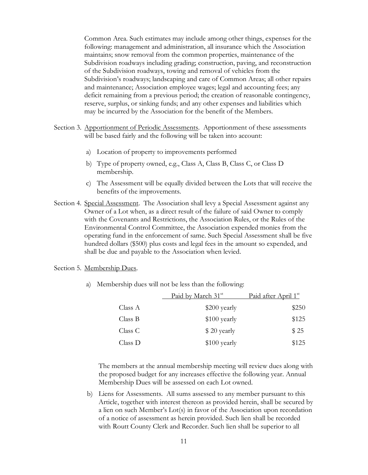Common Area. Such estimates may include among other things, expenses for the following: management and administration, all insurance which the Association maintains; snow removal from the common properties, maintenance of the Subdivision roadways including grading; construction, paving, and reconstruction of the Subdivision roadways, towing and removal of vehicles from the Subdivision's roadways; landscaping and care of Common Areas; all other repairs and maintenance; Association employee wages; legal and accounting fees; any deficit remaining from a previous period; the creation of reasonable contingency, reserve, surplus, or sinking funds; and any other expenses and liabilities which may be incurred by the Association for the benefit of the Members.

- Section 3. Apportionment of Periodic Assessments. Apportionment of these assessments will be based fairly and the following will be taken into account:
	- a) Location of property to improvements performed
	- b) Type of property owned, e.g., Class A, Class B, Class C, or Class D membership.
	- c) The Assessment will be equally divided between the Lots that will receive the benefits of the improvements.
- Section 4. Special Assessment. The Association shall levy a Special Assessment against any Owner of a Lot when, as a direct result of the failure of said Owner to comply with the Covenants and Restrictions, the Association Rules, or the Rules of the Environmental Control Committee, the Association expended monies from the operating fund in the enforcement of same. Such Special Assessment shall be five hundred dollars (\$500) plus costs and legal fees in the amount so expended, and shall be due and payable to the Association when levied.

Section 5. Membership Dues.

a) Membership dues will not be less than the following:

| Paid by March 31 <sup>st</sup> | Paid after April 1st |
|--------------------------------|----------------------|
| \$200 yearly                   | \$250                |
| \$100 yearly                   | \$125                |
| \$20 yearly                    | \$25                 |
| \$100 yearly                   | \$125                |
|                                |                      |

 The members at the annual membership meeting will review dues along with the proposed budget for any increases effective the following year. Annual Membership Dues will be assessed on each Lot owned.

b) Liens for Assessments. All sums assessed to any member pursuant to this Article, together with interest thereon as provided herein, shall be secured by a lien on such Member's Lot(s) in favor of the Association upon recordation of a notice of assessment as herein provided. Such lien shall be recorded with Routt County Clerk and Recorder. Such lien shall be superior to all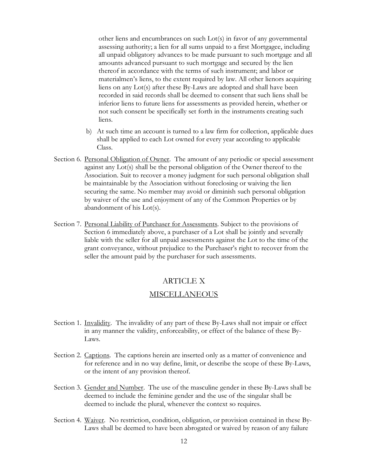other liens and encumbrances on such Lot(s) in favor of any governmental assessing authority; a lien for all sums unpaid to a first Mortgagee, including all unpaid obligatory advances to be made pursuant to such mortgage and all amounts advanced pursuant to such mortgage and secured by the lien thereof in accordance with the terms of such instrument; and labor or materialmen's liens, to the extent required by law. All other lienors acquiring liens on any Lot(s) after these By-Laws are adopted and shall have been recorded in said records shall be deemed to consent that such liens shall be inferior liens to future liens for assessments as provided herein, whether or not such consent be specifically set forth in the instruments creating such liens.

- b) At such time an account is turned to a law firm for collection, applicable dues shall be applied to each Lot owned for every year according to applicable Class.
- Section 6. Personal Obligation of Owner. The amount of any periodic or special assessment against any Lot(s) shall be the personal obligation of the Owner thereof to the Association. Suit to recover a money judgment for such personal obligation shall be maintainable by the Association without foreclosing or waiving the lien securing the same. No member may avoid or diminish such personal obligation by waiver of the use and enjoyment of any of the Common Properties or by abandonment of his Lot(s).
- Section 7. Personal Liability of Purchaser for Assessments. Subject to the provisions of Section 6 immediately above, a purchaser of a Lot shall be jointly and severally liable with the seller for all unpaid assessments against the Lot to the time of the grant conveyance, without prejudice to the Purchaser's right to recover from the seller the amount paid by the purchaser for such assessments.

#### ARTICLE X

#### MISCELLANEOUS

- Section 1. Invalidity. The invalidity of any part of these By-Laws shall not impair or effect in any manner the validity, enforceability, or effect of the balance of these By-Laws.
- Section 2. Captions. The captions herein are inserted only as a matter of convenience and for reference and in no way define, limit, or describe the scope of these By-Laws, or the intent of any provision thereof.
- Section 3. Gender and Number. The use of the masculine gender in these By-Laws shall be deemed to include the feminine gender and the use of the singular shall be deemed to include the plural, whenever the context so requires.
- Section 4. Waiver. No restriction, condition, obligation, or provision contained in these By-Laws shall be deemed to have been abrogated or waived by reason of any failure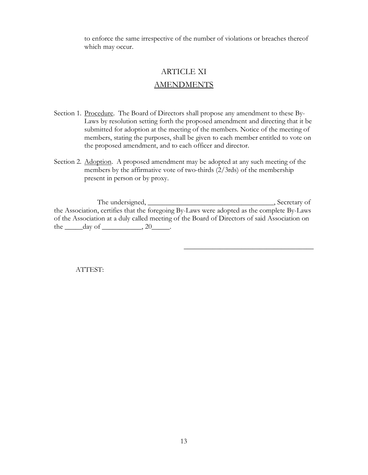to enforce the same irrespective of the number of violations or breaches thereof which may occur.

# ARTICLE XI

# AMENDMENTS

- Section 1. Procedure. The Board of Directors shall propose any amendment to these By-Laws by resolution setting forth the proposed amendment and directing that it be submitted for adoption at the meeting of the members. Notice of the meeting of members, stating the purposes, shall be given to each member entitled to vote on the proposed amendment, and to each officer and director.
- Section 2. Adoption. A proposed amendment may be adopted at any such meeting of the members by the affirmative vote of two-thirds (2/3rds) of the membership present in person or by proxy.

 The undersigned, \_\_\_\_\_\_\_\_\_\_\_\_\_\_\_\_\_\_\_\_\_\_\_\_\_\_\_\_\_\_\_\_\_\_\_, Secretary of the Association, certifies that the foregoing By-Laws were adopted as the complete By-Laws of the Association at a duly called meeting of the Board of Directors of said Association on the  $\rule{1em}{0.15mm} \text{day of} \_\_\_\_$ , 20 $\rule{1em}{0.15mm}$ .

 $\mathcal{L}_\text{max}$  and  $\mathcal{L}_\text{max}$  and  $\mathcal{L}_\text{max}$  are the set of  $\mathcal{L}_\text{max}$ 

ATTEST: